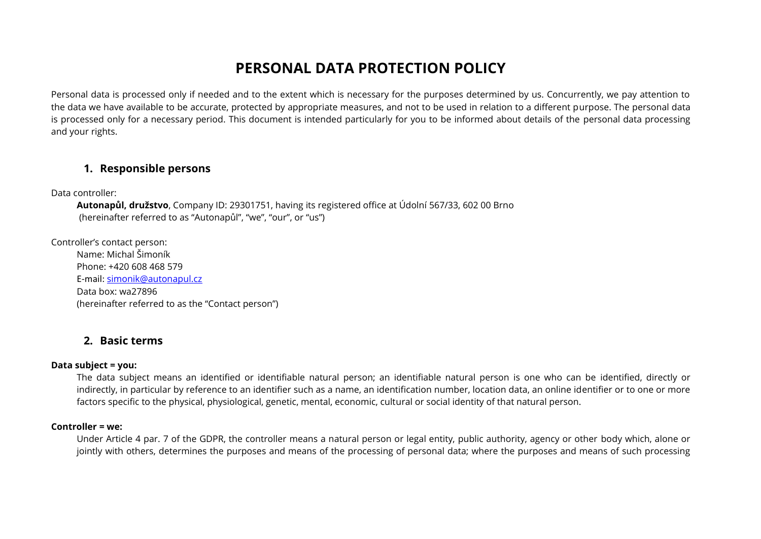# **PERSONAL DATA PROTECTION POLICY**

Personal data is processed only if needed and to the extent which is necessary for the purposes determined by us. Concurrently, we pay attention to the data we have available to be accurate, protected by appropriate measures, and not to be used in relation to a different purpose. The personal data is processed only for a necessary period. This document is intended particularly for you to be informed about details of the personal data processing and your rights.

### **1. Responsible persons**

Data controller:

**Autonapůl, družstvo**, Company ID: 29301751, having its registered office at Údolní 567/33, 602 00 Brno (hereinafter referred to as "Autonapůl", "we", "our", or "us")

Controller's contact person: Name: Michal Šimoník Phone: +420 608 468 579 E-mail: [simonik@autonapul.cz](mailto:simonik@autonapul.cz) Data box: wa27896 (hereinafter referred to as the "Contact person")

### **2. Basic terms**

#### **Data subject = you:**

The data subject means an identified or identifiable natural person; an identifiable natural person is one who can be identified, directly or indirectly, in particular by reference to an identifier such as a name, an identification number, location data, an online identifier or to one or more factors specific to the physical, physiological, genetic, mental, economic, cultural or social identity of that natural person.

#### **Controller = we:**

Under Article 4 par. 7 of the GDPR, the controller means a natural person or legal entity, public authority, agency or other body which, alone or jointly with others, determines the purposes and means of the processing of personal data; where the purposes and means of such processing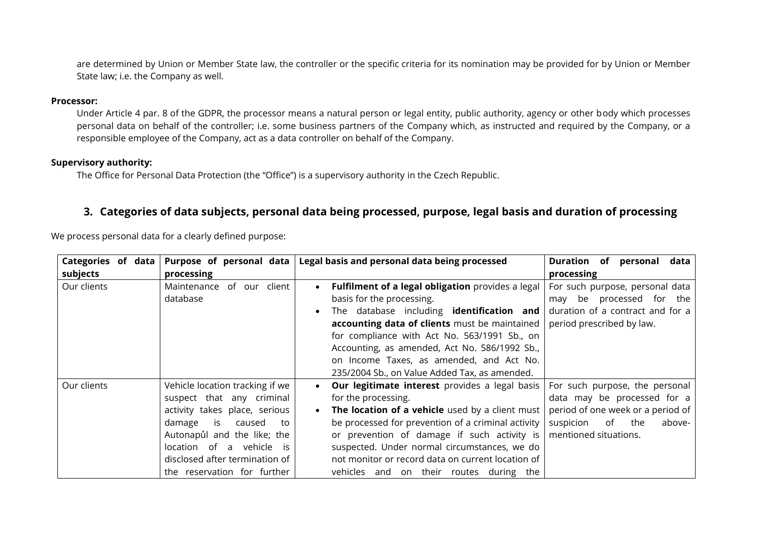are determined by Union or Member State law, the controller or the specific criteria for its nomination may be provided for by Union or Member State law; i.e. the Company as well.

#### **Processor:**

Under Article 4 par. 8 of the GDPR, the processor means a natural person or legal entity, public authority, agency or other body which processes personal data on behalf of the controller; i.e. some business partners of the Company which, as instructed and required by the Company, or a responsible employee of the Company, act as a data controller on behalf of the Company.

#### **Supervisory authority:**

The Office for Personal Data Protection (the "Office") is a supervisory authority in the Czech Republic.

# **3. Categories of data subjects, personal data being processed, purpose, legal basis and duration of processing**

We process personal data for a clearly defined purpose:

| Categories of data | Purpose of personal data        | Legal basis and personal data being processed                  | Duration of personal data         |
|--------------------|---------------------------------|----------------------------------------------------------------|-----------------------------------|
| subjects           | processing                      |                                                                | processing                        |
| Our clients        | Maintenance of our<br>client    | Fulfilment of a legal obligation provides a legal<br>$\bullet$ | For such purpose, personal data   |
|                    | database                        | basis for the processing.                                      | may be processed for the          |
|                    |                                 | The database including <b>identification and</b><br>$\bullet$  | duration of a contract and for a  |
|                    |                                 | accounting data of clients must be maintained                  | period prescribed by law.         |
|                    |                                 | for compliance with Act No. 563/1991 Sb., on                   |                                   |
|                    |                                 | Accounting, as amended, Act No. 586/1992 Sb.,                  |                                   |
|                    |                                 | on Income Taxes, as amended, and Act No.                       |                                   |
|                    |                                 | 235/2004 Sb., on Value Added Tax, as amended.                  |                                   |
| Our clients        | Vehicle location tracking if we | Our legitimate interest provides a legal basis<br>$\bullet$    | For such purpose, the personal    |
|                    | suspect that any criminal       | for the processing.                                            | data may be processed for a       |
|                    | activity takes place, serious   | The location of a vehicle used by a client must<br>$\bullet$   | period of one week or a period of |
|                    | damage<br>is<br>caused<br>to    | be processed for prevention of a criminal activity             | suspicion<br>of the<br>above-     |
|                    | Autonapůl and the like; the     | or prevention of damage if such activity is                    | mentioned situations.             |
|                    | location of a vehicle is        | suspected. Under normal circumstances, we do                   |                                   |
|                    | disclosed after termination of  | not monitor or record data on current location of              |                                   |
|                    | the reservation for further     | vehicles and on their routes during the                        |                                   |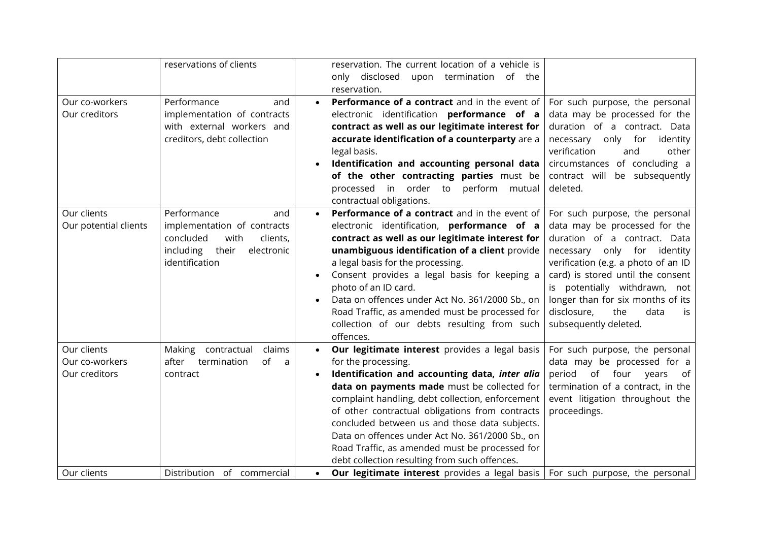|                                                | reservations of clients                                                                                                                  |                        | reservation. The current location of a vehicle is<br>only disclosed upon termination of the<br>reservation.                                                                                                                                                                                                                                                                                                                                                                          |                                                                                                                                                                                                                                                                                                                                                     |
|------------------------------------------------|------------------------------------------------------------------------------------------------------------------------------------------|------------------------|--------------------------------------------------------------------------------------------------------------------------------------------------------------------------------------------------------------------------------------------------------------------------------------------------------------------------------------------------------------------------------------------------------------------------------------------------------------------------------------|-----------------------------------------------------------------------------------------------------------------------------------------------------------------------------------------------------------------------------------------------------------------------------------------------------------------------------------------------------|
| Our co-workers<br>Our creditors                | Performance<br>and<br>implementation of contracts<br>with external workers and<br>creditors, debt collection                             |                        | Performance of a contract and in the event of<br>electronic identification performance of a<br>contract as well as our legitimate interest for<br>accurate identification of a counterparty are a<br>legal basis.<br>Identification and accounting personal data<br>of the other contracting parties must be<br>processed in order to<br>perform<br>mutual<br>contractual obligations.                                                                                               | For such purpose, the personal<br>data may be processed for the<br>duration of a contract. Data<br>necessary only for<br>identity<br>verification<br>and<br>other<br>circumstances of concluding a<br>contract will be subsequently<br>deleted.                                                                                                     |
| Our clients<br>Our potential clients           | Performance<br>and<br>implementation of contracts<br>concluded<br>clients,<br>with<br>including<br>their<br>electronic<br>identification | $\bullet$<br>$\bullet$ | Performance of a contract and in the event of<br>electronic identification, performance of a<br>contract as well as our legitimate interest for<br>unambiguous identification of a client provide<br>a legal basis for the processing.<br>Consent provides a legal basis for keeping a<br>photo of an ID card.<br>Data on offences under Act No. 361/2000 Sb., on<br>Road Traffic, as amended must be processed for<br>collection of our debts resulting from such<br>offences.      | For such purpose, the personal<br>data may be processed for the<br>duration of a contract. Data<br>necessary only<br>for<br>identity<br>verification (e.g. a photo of an ID<br>card) is stored until the consent<br>is potentially withdrawn, not<br>longer than for six months of its<br>disclosure,<br>the<br>data<br>is<br>subsequently deleted. |
| Our clients<br>Our co-workers<br>Our creditors | Making<br>contractual<br>claims<br>of<br>after<br>termination<br>a<br>contract                                                           | $\bullet$              | Our legitimate interest provides a legal basis<br>for the processing.<br>Identification and accounting data, inter alia<br>data on payments made must be collected for<br>complaint handling, debt collection, enforcement<br>of other contractual obligations from contracts<br>concluded between us and those data subjects.<br>Data on offences under Act No. 361/2000 Sb., on<br>Road Traffic, as amended must be processed for<br>debt collection resulting from such offences. | For such purpose, the personal<br>data may be processed for a<br>period<br>of<br>four<br>years<br>of<br>termination of a contract, in the<br>event litigation throughout the<br>proceedings.                                                                                                                                                        |
| Our clients                                    | Distribution of commercial                                                                                                               | $\bullet$              | <b>Our legitimate interest</b> provides a legal basis                                                                                                                                                                                                                                                                                                                                                                                                                                | For such purpose, the personal                                                                                                                                                                                                                                                                                                                      |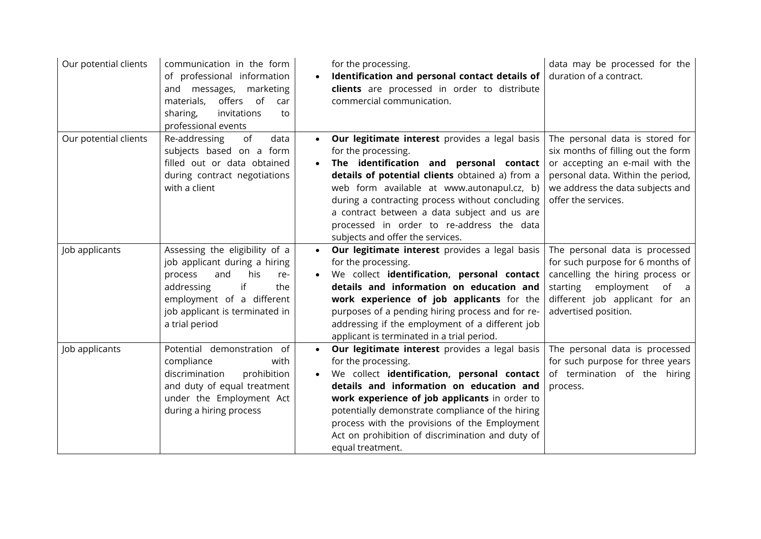| Our potential clients | communication in the form<br>of professional information<br>and messages, marketing<br>offers<br>of<br>materials,<br>car<br>sharing,<br>invitations<br>to<br>professional events                            | for the processing.<br>Identification and personal contact details of<br>clients are processed in order to distribute<br>commercial communication.                                                                                                                                                                                                                                                                              | data may be processed for the<br>duration of a contract.                                                                                                                                                 |
|-----------------------|-------------------------------------------------------------------------------------------------------------------------------------------------------------------------------------------------------------|---------------------------------------------------------------------------------------------------------------------------------------------------------------------------------------------------------------------------------------------------------------------------------------------------------------------------------------------------------------------------------------------------------------------------------|----------------------------------------------------------------------------------------------------------------------------------------------------------------------------------------------------------|
| Our potential clients | Re-addressing<br>of<br>data<br>subjects based on a form<br>filled out or data obtained<br>during contract negotiations<br>with a client                                                                     | Our legitimate interest provides a legal basis<br>$\bullet$<br>for the processing.<br>The identification and personal contact<br>$\bullet$<br>details of potential clients obtained a) from a<br>web form available at www.autonapul.cz, b)<br>during a contracting process without concluding<br>a contract between a data subject and us are<br>processed in order to re-address the data<br>subjects and offer the services. | The personal data is stored for<br>six months of filling out the form<br>or accepting an e-mail with the<br>personal data. Within the period,<br>we address the data subjects and<br>offer the services. |
| Job applicants        | Assessing the eligibility of a<br>job applicant during a hiring<br>and<br>his<br>process<br>re-<br>addressing<br>if<br>the<br>employment of a different<br>job applicant is terminated in<br>a trial period | Our legitimate interest provides a legal basis<br>$\bullet$<br>for the processing.<br>We collect identification, personal contact<br>details and information on education and<br>work experience of job applicants for the<br>purposes of a pending hiring process and for re-<br>addressing if the employment of a different job<br>applicant is terminated in a trial period.                                                 | The personal data is processed<br>for such purpose for 6 months of<br>cancelling the hiring process or<br>starting<br>employment<br>of a<br>different job applicant for an<br>advertised position.       |
| Job applicants        | Potential demonstration of<br>compliance<br>with<br>discrimination<br>prohibition<br>and duty of equal treatment<br>under the Employment Act<br>during a hiring process                                     | Our legitimate interest provides a legal basis<br>$\bullet$<br>for the processing.<br>We collect identification, personal contact<br>details and information on education and<br>work experience of job applicants in order to<br>potentially demonstrate compliance of the hiring<br>process with the provisions of the Employment<br>Act on prohibition of discrimination and duty of<br>equal treatment.                     | The personal data is processed<br>for such purpose for three years<br>of termination of the hiring<br>process.                                                                                           |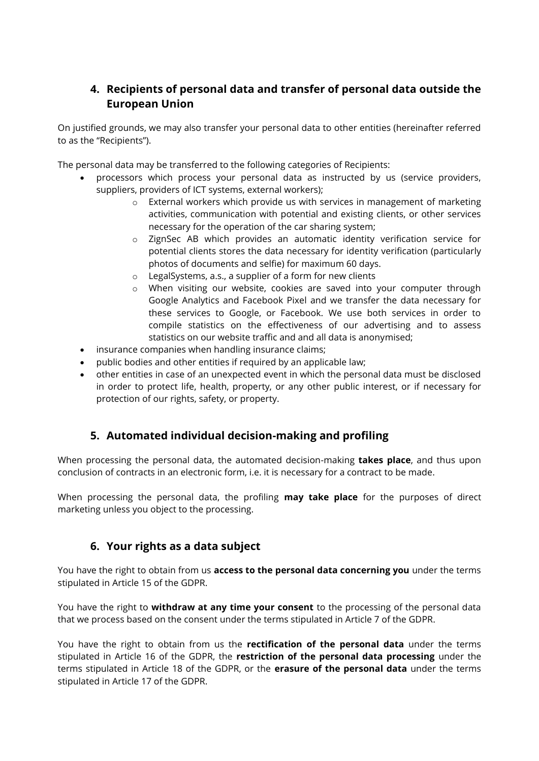# **4. Recipients of personal data and transfer of personal data outside the European Union**

On justified grounds, we may also transfer your personal data to other entities (hereinafter referred to as the "Recipients").

The personal data may be transferred to the following categories of Recipients:

- processors which process your personal data as instructed by us (service providers, suppliers, providers of ICT systems, external workers);
	- o External workers which provide us with services in management of marketing activities, communication with potential and existing clients, or other services necessary for the operation of the car sharing system;
	- o ZignSec AB which provides an automatic identity verification service for potential clients stores the data necessary for identity verification (particularly photos of documents and selfie) for maximum 60 days.
	- o LegalSystems, a.s., a supplier of a form for new clients
	- o When visiting our website, cookies are saved into your computer through Google Analytics and Facebook Pixel and we transfer the data necessary for these services to Google, or Facebook. We use both services in order to compile statistics on the effectiveness of our advertising and to assess statistics on our website traffic and and all data is anonymised;
- insurance companies when handling insurance claims;
- public bodies and other entities if required by an applicable law;
- other entities in case of an unexpected event in which the personal data must be disclosed in order to protect life, health, property, or any other public interest, or if necessary for protection of our rights, safety, or property.

# **5. Automated individual decision-making and profiling**

When processing the personal data, the automated decision-making **takes place**, and thus upon conclusion of contracts in an electronic form, i.e. it is necessary for a contract to be made.

When processing the personal data, the profiling **may take place** for the purposes of direct marketing unless you object to the processing.

# **6. Your rights as a data subject**

You have the right to obtain from us **access to the personal data concerning you** under the terms stipulated in Article 15 of the GDPR.

You have the right to **withdraw at any time your consent** to the processing of the personal data that we process based on the consent under the terms stipulated in Article 7 of the GDPR.

You have the right to obtain from us the **rectification of the personal data** under the terms stipulated in Article 16 of the GDPR, the **restriction of the personal data processing** under the terms stipulated in Article 18 of the GDPR, or the **erasure of the personal data** under the terms stipulated in Article 17 of the GDPR.